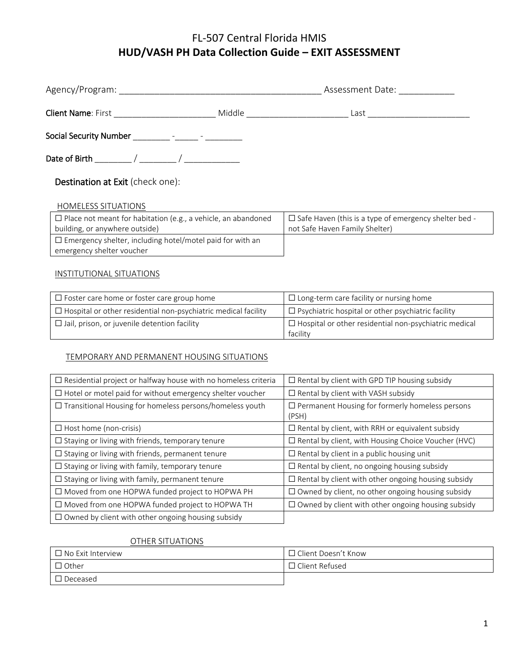| Agency/Program:           |        | Assessment Date: |  |
|---------------------------|--------|------------------|--|
| <b>Client Name: First</b> | Middle | Last             |  |

Social Security Number \_\_\_\_\_\_\_\_ -\_\_\_\_\_ - \_\_\_\_\_\_\_\_

Date of Birth \_\_\_\_\_\_\_\_ / \_\_\_\_\_\_\_\_ / \_\_\_\_\_\_\_\_\_\_\_\_

Destination at Exit (check one):

# HOMELESS SITUATIONS

| $\Box$ Place not meant for habitation (e.g., a vehicle, an abandoned                          | $\Box$ Safe Haven (this is a type of emergency shelter bed - |
|-----------------------------------------------------------------------------------------------|--------------------------------------------------------------|
| building, or anywhere outside)                                                                | not Safe Haven Family Shelter)                               |
| $\Box$ Emergency shelter, including hotel/motel paid for with an<br>emergency shelter voucher |                                                              |

# INSTITUTIONAL SITUATIONS

| $\Box$ Foster care home or foster care group home                     | $\Box$ Long-term care facility or nursing home                           |
|-----------------------------------------------------------------------|--------------------------------------------------------------------------|
| $\Box$ Hospital or other residential non-psychiatric medical facility | $\Box$ Psychiatric hospital or other psychiatric facility                |
| $\Box$ Jail, prison, or juvenile detention facility                   | $\Box$ Hospital or other residential non-psychiatric medical<br>facility |

# TEMPORARY AND PERMANENT HOUSING SITUATIONS

| $\Box$ Residential project or halfway house with no homeless criteria | $\Box$ Rental by client with GPD TIP housing subsidy            |
|-----------------------------------------------------------------------|-----------------------------------------------------------------|
| $\Box$ Hotel or motel paid for without emergency shelter voucher      | $\Box$ Rental by client with VASH subsidy                       |
| $\Box$ Transitional Housing for homeless persons/homeless youth       | $\Box$ Permanent Housing for formerly homeless persons<br>(PSH) |
| $\Box$ Host home (non-crisis)                                         | $\Box$ Rental by client, with RRH or equivalent subsidy         |
| $\Box$ Staying or living with friends, temporary tenure               | $\Box$ Rental by client, with Housing Choice Voucher (HVC)      |
| $\Box$ Staying or living with friends, permanent tenure               | $\Box$ Rental by client in a public housing unit                |
| $\Box$ Staying or living with family, temporary tenure                | $\Box$ Rental by client, no ongoing housing subsidy             |
| $\Box$ Staying or living with family, permanent tenure                | $\Box$ Rental by client with other ongoing housing subsidy      |
| □ Moved from one HOPWA funded project to HOPWA PH                     | $\Box$ Owned by client, no other ongoing housing subsidy        |
| □ Moved from one HOPWA funded project to HOPWA TH                     | $\Box$ Owned by client with other ongoing housing subsidy       |
| $\Box$ Owned by client with other ongoing housing subsidy             |                                                                 |

# OTHER SITUATIONS

| $\Box$ No Exit Interview | $\Box$ Client Doesn't Know |
|--------------------------|----------------------------|
| $\Box$<br>Other          | $\Box$ Client Refused      |
| П<br>Deceased            |                            |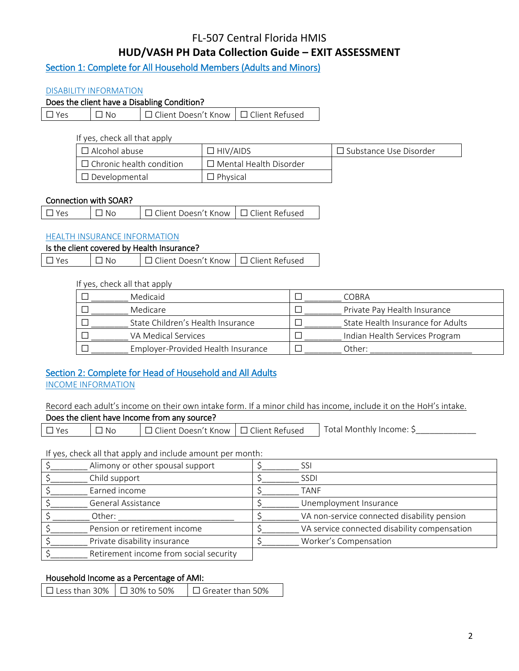Section 1: Complete for All Household Members (Adults and Minors)

### DISABILITY INFORMATION

# Does the client have a Disabling Condition?

☐ Yes ☐ No ☐ Client Doesn't Know ☐ Client Refused

If yes, check all that apply

| $\Box$ Alcohol abuse            | $\Box$ HIV/AIDS               | $\Box$ Substance Use Disorder |
|---------------------------------|-------------------------------|-------------------------------|
| $\Box$ Chronic health condition | $\Box$ Mental Health Disorder |                               |
| $\Box$ Developmental            | $\sqsupset$ Phvsical          |                               |

## Connection with SOAR?

| $\Box$ Yes | $\Box$ No | □ Client Doesn't Know   □ Client Refused |  |
|------------|-----------|------------------------------------------|--|
|            |           |                                          |  |

## HEALTH INSURANCE INFORMATION

Is the client covered by Health Insurance?

| $\Box$ Yes | $\Box$ No | □ Client Doesn't Know   □ Client Refused |  |
|------------|-----------|------------------------------------------|--|
|            |           |                                          |  |

If yes, check all that apply

| Medicaid                           | COBRA                             |
|------------------------------------|-----------------------------------|
| Medicare                           | Private Pay Health Insurance      |
| State Children's Health Insurance  | State Health Insurance for Adults |
| VA Medical Services                | Indian Health Services Program    |
| Employer-Provided Health Insurance | Other:                            |

# Section 2: Complete for Head of Household and All Adults INCOME INFORMATION

Record each adult's income on their own intake form. If a minor child has income, include it on the HoH's intake.

| Does the client have Income from any source? |           |                                          |  |                          |
|----------------------------------------------|-----------|------------------------------------------|--|--------------------------|
| $\Box$ Yes                                   | $\Box$ No | □ Client Doesn't Know   □ Client Refused |  | Total Monthly Income: \$ |

If yes, check all that apply and include amount per month:

| Alimony or other spousal support       | SSI                                          |
|----------------------------------------|----------------------------------------------|
| Child support                          | <b>SSDI</b>                                  |
| Earned income                          | TANF                                         |
| General Assistance                     | Unemployment Insurance                       |
| Other:                                 | VA non-service connected disability pension  |
| Pension or retirement income           | VA service connected disability compensation |
| Private disability insurance           | Worker's Compensation                        |
| Retirement income from social security |                                              |

### Household Income as a Percentage of AMI:

| □ Less than 30% $\Box$ 30% to 50% |  | $\Box$ Greater than 50% |
|-----------------------------------|--|-------------------------|
|-----------------------------------|--|-------------------------|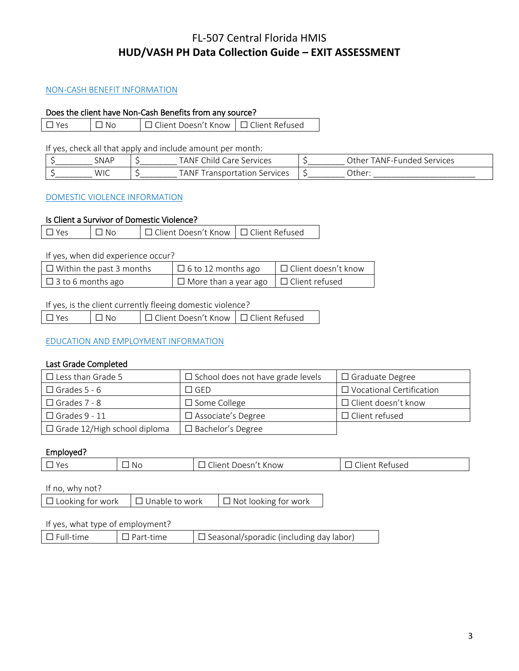### NON-CASH BENEFIT INFORMATION

## Does the client have Non-Cash Benefits from any source?

☐ Yes ☐ No ☐ Client Doesn't Know ☐ Client Refused

If yes, check all that apply and include amount per month:

| SNAP | <b>TANF</b><br>$\sim$<br>SAMILLAS<br>$\sim$ red<br>hilo | Other<br>ANF-FI<br>Services<br>ں صدی ت |
|------|---------------------------------------------------------|----------------------------------------|
| WIC  | <b>TANF</b><br><b>Services</b><br>cion<br>l di          | Other:                                 |

#### DOMESTIC VIOLENCE INFORMATION

## Is Client a Survivor of Domestic Violence?

| $\Box$ Client Doesn't Know $\Box$ Client Refused<br>⊟ No |  |
|----------------------------------------------------------|--|
|----------------------------------------------------------|--|

#### If yes, when did experience occur?

| $\Box$ Within the past 3 months | $\Box$ 6 to 12 months ago                         | $\Box$ Client doesn't know |
|---------------------------------|---------------------------------------------------|----------------------------|
| $\Box$ 3 to 6 months ago        | $\Box$ More than a year ago $\Box$ Client refused |                            |

#### If yes, is the client currently fleeing domestic violence?

☐ Yes ☐ No ☐ Client Doesn't Know ☐ Client Refused

### EDUCATION AND EMPLOYMENT INFORMATION

### Last Grade Completed

| $\Box$ Less than Grade 5            | $\Box$ School does not have grade levels | $\Box$ Graduate Degree          |
|-------------------------------------|------------------------------------------|---------------------------------|
| $\Box$ Grades 5 - 6                 | $\square$ GED                            | $\Box$ Vocational Certification |
| $\Box$ Grades 7 - 8                 | $\Box$ Some College                      | $\Box$ Client doesn't know      |
| $\Box$ Grades 9 - 11                | $\Box$ Associate's Degree                | $\Box$ Client refused           |
| $\Box$ Grade 12/High school diploma | $\square$ Bachelor's Degree              |                                 |

### Employed?

| $V \cap C$<br>ັ<br>__ | Nс | $\sim$<br>Know<br>llent.<br>Doesn'<br>$\sim$ | $\sim$<br>Clier<br>Refused |
|-----------------------|----|----------------------------------------------|----------------------------|
|-----------------------|----|----------------------------------------------|----------------------------|

If no, why not?

| $\Box$ Looking for work | $\Box$ Unable to work | $\Box$ Not looking for work |
|-------------------------|-----------------------|-----------------------------|
|-------------------------|-----------------------|-----------------------------|

### If yes, what type of employment?

| $\Box$ Full-time | $\square$ Part-time | $\Box$ Seasonal/sporadic (including day labor) |
|------------------|---------------------|------------------------------------------------|
|                  |                     |                                                |